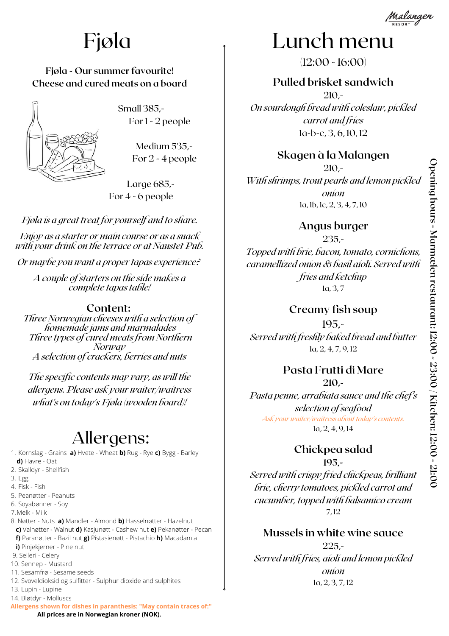

## Fjøla

#### **Fjøla - Our summer favourite! Cheese and cured meats on a board**



Small 385,- For 1 - 2 people

> Medium 535,- For 2 - 4 people

Large 685,- For 4 - 6 people

*Fjøla is a great treat for yourself and to share.*

*Enjoy as a starter or main course or as a snack with your drink on the terrace or at Naustet Pub.*

*Or maybe you want a proper tapas experience?*

*A couple of starters on the side makes a complete tapas table!*

#### **Content:**

*Three Norwegian cheeses with a selection of homemade jams and marmalades Three types of cured meats from Northern Norway A selection of crackers, berries and nuts*

*The specific contents may vary, as will the allergens. Please ask your waiter/waitress what's on today's Fjøla (wooden board)!*

### Allergens:

1. Kornslag - Grains **a)** Hvete - Wheat **b)** Rug - Rye **c)** Bygg - Barley **d)** Havre - Oat 2. Skalldyr - Shellfish 3. Egg 4. Fisk - Fish 5. Peanøtter - Peanuts 6. Soyabønner - Soy Melk - Milk 7. 8. Nøtter - Nuts **a)** Mandler - Almond **b)** Hasselnøtter - Hazelnut **c)** Valnøtter - Walnut **d)** Kasjunøtt - Cashew nut **e)** Pekanøtter - Pecan **f)** Paranøtter - Bazil nut **g)** Pistasienøtt - Pistachio **h)** Macadamia **i)** Pinjekjerner - Pine nut 9. Selleri - Celery 10. Sennep - Mustard 11. Sesamfrø - Sesame seeds 12. Svoveldioksid og sulfitter - Sulphur dioxide and sulphites 13. Lupin - Lupine 14. Bløtdyr - Molluscs **Allergens shown for dishes in paranthesis: "May contain traces of:"**

## Lunch menu

 $(12:00 - 16:00)$ 

**Pulled brisket sandwich** 210,- *On sourdough bread with coleslaw, pickled carrot and fries* 1a-b-c, 3, 6, 10, 12

#### **Skagen à la Malangen**

210,- *With shrimps, trout pearls and lemon pickled onion* 1a, 1b, 1c, 2, 3, 4, 7, 10

**Angus burger**

235,- *Topped with brie, bacon, tomato, cornichons, caramellized onion & basil aioli. Served with fries and ketchup* 1a, 3, 7

#### **Creamy fish soup**

195,- *Served with freshly baked bread and butter* 1a, 2, 4, 7, 9, 12

### **Pasta Frutti di Mare**

#### **210,-**

*Pasta penne, arrabiata sauce and the chef's selection of seafood Ask your waiter/waitress about today's contents.* 1a, 2, 4, 9, 14

### **Chickpea salad**

#### **195,-**

*Served with crispy fried chickpeas, brilliant brie, cherry tomatoes, pickled carrot and cucumber, topped with balsamico cream* 7, 12

### **Mussels in white wine sauce**

225,- *Served with fries, aioli and lemon pickled onion* 1a, 2, 3, 7, 12

**0**

 **All prices are in Norwegian kroner (NOK).**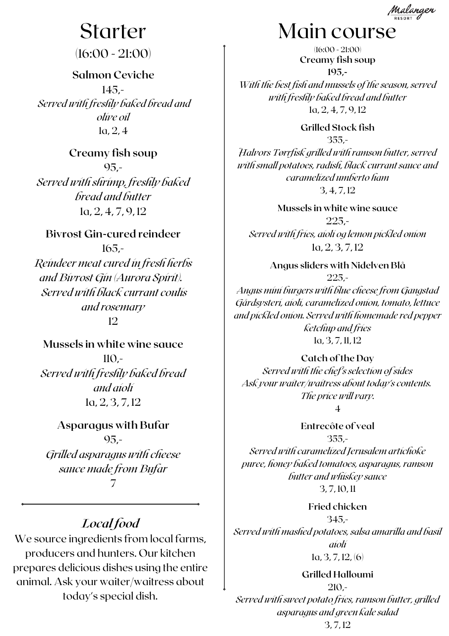

## Starter

(16:00 - 21:00)

**Salmon Ceviche** 145,- *Served with freshly baked bread and olive oil* 1a, 2, 4

**Creamy fish soup** 95,- *Served with shrimp, freshly baked bread and butter* 1a, 2, 4, 7, 9, 12

**Bivrost Gin-cured reindeer** 165,- *Reindeer meat cured in fresh herbs and Bivrost Gin (Aurora Spirit). Served with black currant coulis and rosemary* 12

**Mussels in white wine sauce** 110,- *Served with freshly baked bread and aioli* 1a, 2, 3, 7, 12

**Asparagus with Bufar** 95,- *Grilled asparagus with cheese sauce made from Bufar* 7

### *Local food*

We source ingredients from local farms, producers and hunters. Our kitchen prepares delicious dishes using the entire animal. Ask your waiter/waitress about today's special dish.

## Main course

**Creamy fish soup 195,-** *With the best fish and mussels of the season, served with freshly baked bread and butter* 1a, 2, 4, 7, 9, 12 (16:00 - 21:00)

**Grilled Stock fish** 355,- *Halvors Tørrfisk grilled with ramson butter, served with small potatoes, radish, black currant sauce and caramelized umberto ham* 3, 4, 7, 12

**Mussels in white wine sauce** 225,- *Served with fries, aioli og lemon pickled onion* 1a, 2, 3, 7, 12

**Angus sliders with Nidelven Blå** 225,- *Angus mini burgers with blue cheese from Gangstad Gårdsysteri, aioli, caramelized onion, tomato, lettuce and pickled onion. Served with homemade red pepper ketchup and fries* 1a, 3, 7, 11, 12

**Catch of the Day** *Served with the chef's selection of sides Ask your waiter/waitress about today's contents. The price will vary.* 4

**Entrecôte of veal** 355,- *Served with caramelized Jerusalem artichoke puree, honey baked tomatoes, asparagus, ramson butter and whiskey sauce* 3, 7, 10, 11

**Fried chicken** 345,- *Served with mashed potatoes, salsa amarilla and basil aioli*  $1a, 3, 7, 12, 6$ 

**Grilled Halloumi** 210,- *Served with sweet potato fries, ramson butter, grilled asparagus and green kale salad* 3, 7, 12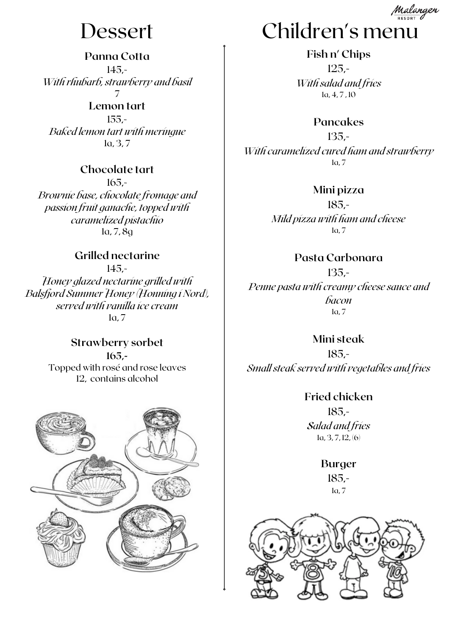**Panna Cotta** 145,- *With rhubarb, strawberry and basil* 7

**Lemon tart** 155,- *Baked lemon tart with meringue* 1a, 3, 7

#### **Chocolate tart**

165,- *Brownie base, chocolate fromage and passion fruit ganache, topped with caramelized pistachio* 1a, 7, 8g

#### **Grilled nectarine**

145,- *Honey glazed nectarine grilled with Balsfjord Summer Honey (Honning i Nord), served with vanilla ice cream* 1a, 7

> **Strawberry sorbet 165,-** Topped with rosé and rose leaves 12, contains alcohol





**Fish n' Chips** 125,- *With salad and fries* 1a, 4, 7 , 10

**Pancakes**

135,- *With caramelized cured ham and strawberry* 1a, 7

**Mini pizza**

185,- *Mild pizza with ham and cheese* 1a, 7

**Pasta Carbonara**

135,- *Penne pasta with creamy cheese sauce and bacon* 1a, 7

**Mini steak** 185,- *Small steak served with vegetables and fries*

> **Fried chicken** 185,- *Salad and fries*  $1a, 3, 7, 12, 6$

> > **Burger** 185,- 1a, 7

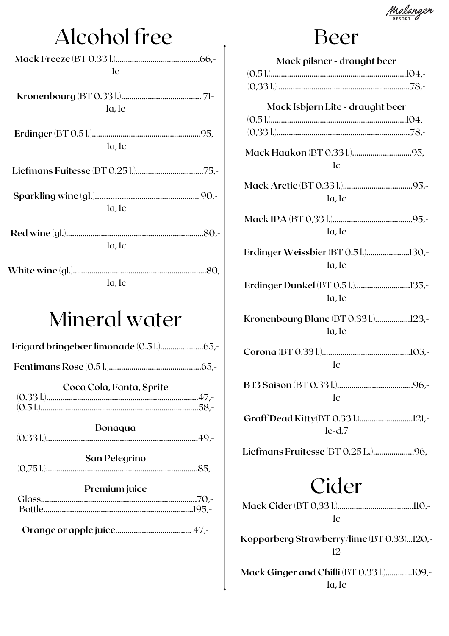Malangen

# Alcohol free

| 1c          |  |
|-------------|--|
|             |  |
| la, lc      |  |
|             |  |
|             |  |
| $1a$ , $1c$ |  |
|             |  |
|             |  |
|             |  |
| $1a$ , $1c$ |  |
|             |  |
|             |  |
| la, lc      |  |
|             |  |
|             |  |
| la. le      |  |

## Mineral water

|--|--|--|

|--|--|--|--|

| Coca Cola, Fanta, Sprite |  |
|--------------------------|--|
|                          |  |
|                          |  |

Bonaqua 

| San Pelegrino |  |
|---------------|--|
|               |  |

| Premium juice |  |
|---------------|--|
|               |  |
|               |  |
|               |  |

### Beer

| Mack pilsner - draught beer                       |
|---------------------------------------------------|
|                                                   |
| Mack Isbjørn Lite - draught beer                  |
| 1c                                                |
| $1a$ , $1c$                                       |
| $1a$ , $1c$                                       |
| Erdinger Weissbier (BT 0.51.)130,-<br>$1a$ , $1c$ |
| Erdinger Dunkel (BT 0.51.)135,-<br>$1a$ , $1c$    |
| Kronenbourg Blanc (BT 0.331.)123,-<br>$1a$ , $1c$ |
| 1c                                                |
| 1c                                                |
| $1c-d.7$                                          |
|                                                   |
| Cider<br>1c                                       |
| Kopparberg Strawberry/lime (BT 0.33)120,<br>12    |

Mack Ginger and Chilli (BT 0.331.)..............109,- $1a$ ,  $1c$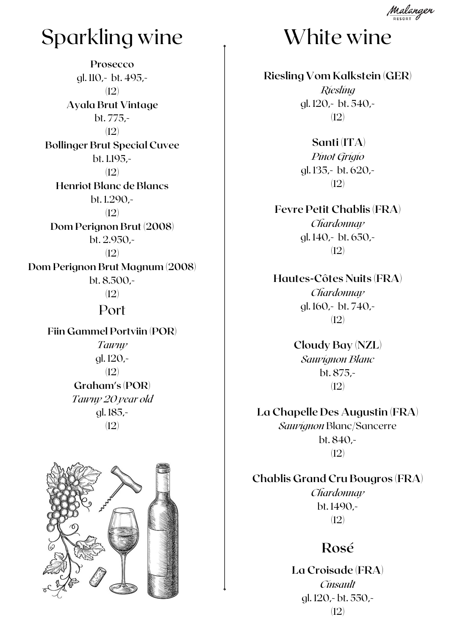## Sparkling wine

**Prosecco** gl. 110,- bt. 495,- (12) **Ayala Brut Vintage** bt. 775,- (12) **Bollinger Brut Special Cuvee** bt. 1.195,- (12) **Henriot Blanc de Blancs** bt. 1.290,- (12) **Dom Perignon Brut (2008)** bt. 2.950,- (12) **Dom Perignon Brut Magnum (2008)** bt. 8.500,- (12) Port **Fiin Gammel Portviin (POR)**

*Tawny* gl. 120,- (12) **Graham's (POR)** *Tawny 20 year old* gl. 185,- (12)





## White wine

**Riesling Vom Kalkstein (GER)** *Riesling* gl. 120,- bt. 540,- (12)

> **Santi (ITA)** *Pinot Grigio* gl. 135,- bt. 620,- (12)

**Fevre Petit Chablis (FRA)** *Chardonnay* gl. 140,- bt. 650,- (12)

**Hautes-Côtes Nuits (FRA)** *Chardonnay* gl. 160,- bt. 740,- (12)

> **Cloudy Bay (NZL)** *Sauvignon Blanc* bt. 875,- (12)

**La Chapelle Des Augustin (FRA)** *Sauvignon* Blanc/Sancerre bt. 840,- (12)

**Chablis Grand Cru Bougros (FRA)** *Chardonnay* bt. 1490,- (12)

### **Rosé**

**La Croisade (FRA)** *Cinsault* gl. 120,- bt. 550,- (12)